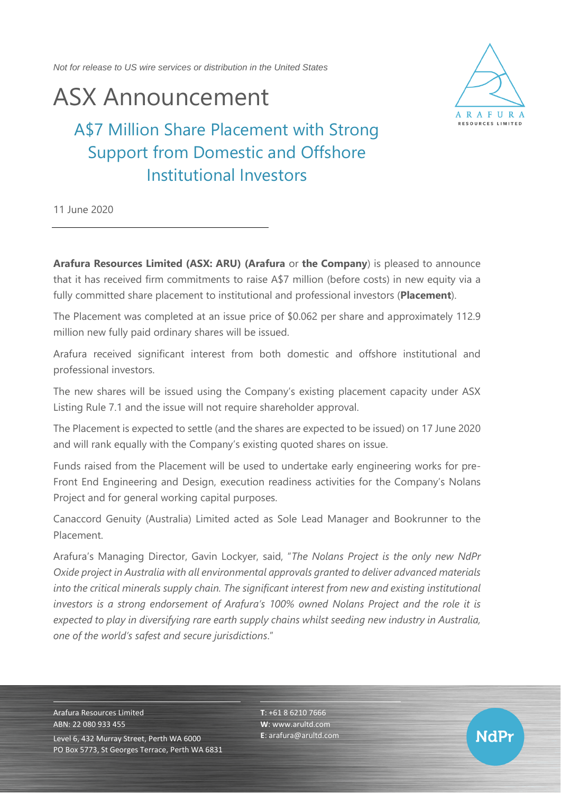*Not for release to US wire services or distribution in the United States*

## ASX Announcement



**NdPr** 

A\$7 Million Share Placement with Strong Support from Domestic and Offshore Institutional Investors

11 June 2020

**Arafura Resources Limited (ASX: ARU) (Arafura** or **the Company**) is pleased to announce that it has received firm commitments to raise A\$7 million (before costs) in new equity via a fully committed share placement to institutional and professional investors (**Placement**).

The Placement was completed at an issue price of \$0.062 per share and approximately 112.9 million new fully paid ordinary shares will be issued.

Arafura received significant interest from both domestic and offshore institutional and professional investors.

The new shares will be issued using the Company's existing placement capacity under ASX Listing Rule 7.1 and the issue will not require shareholder approval.

The Placement is expected to settle (and the shares are expected to be issued) on 17 June 2020 and will rank equally with the Company's existing quoted shares on issue.

Funds raised from the Placement will be used to undertake early engineering works for pre-Front End Engineering and Design, execution readiness activities for the Company's Nolans Project and for general working capital purposes.

Canaccord Genuity (Australia) Limited acted as Sole Lead Manager and Bookrunner to the Placement.

Arafura's Managing Director, Gavin Lockyer, said, "*The Nolans Project is the only new NdPr Oxide project in Australia with all environmental approvals granted to deliver advanced materials into the critical minerals supply chain. The significant interest from new and existing institutional investors is a strong endorsement of Arafura's 100% owned Nolans Project and the role it is expected to play in diversifying rare earth supply chains whilst seeding new industry in Australia, one of the world's safest and secure jurisdictions*."

Arafura Resources Limited ABN: 22 080 933 455 Level 6, 432 Murray Street, Perth WA 6000 PO Box 5773, St Georges Terrace, Perth WA 6831 **T**: +61 8 6210 7666 **W**: [www.arultd.com](http://www.arultd.com/) **E**[: arafura@arultd.com](mailto:arafura@arultd.com)